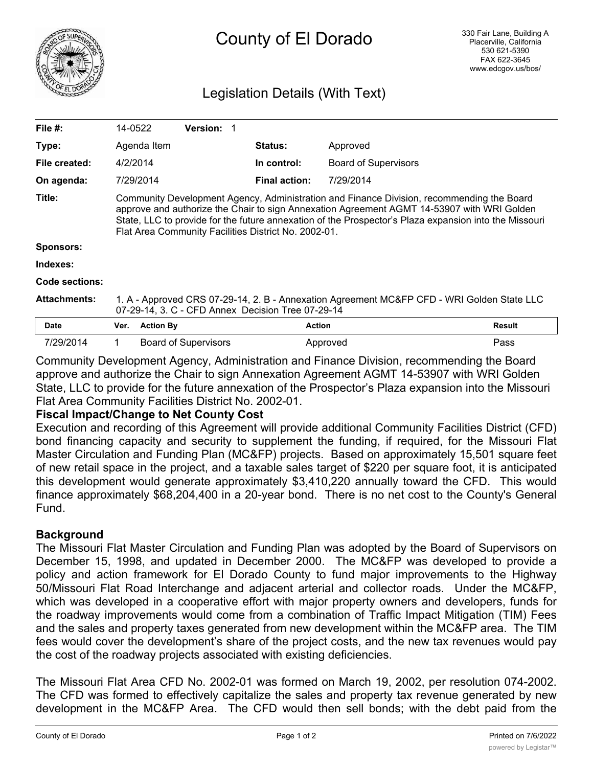

# Legislation Details (With Text)

| File $#$ :          | 14-0522                                                                                                                                                                                                                                                                                                                                                  |                  | <b>Version: 1</b>           |  |                      |                             |               |
|---------------------|----------------------------------------------------------------------------------------------------------------------------------------------------------------------------------------------------------------------------------------------------------------------------------------------------------------------------------------------------------|------------------|-----------------------------|--|----------------------|-----------------------------|---------------|
| Type:               |                                                                                                                                                                                                                                                                                                                                                          | Agenda Item      |                             |  | <b>Status:</b>       | Approved                    |               |
| File created:       | 4/2/2014                                                                                                                                                                                                                                                                                                                                                 |                  |                             |  | In control:          | <b>Board of Supervisors</b> |               |
| On agenda:          |                                                                                                                                                                                                                                                                                                                                                          | 7/29/2014        |                             |  | <b>Final action:</b> | 7/29/2014                   |               |
| Title:              | Community Development Agency, Administration and Finance Division, recommending the Board<br>approve and authorize the Chair to sign Annexation Agreement AGMT 14-53907 with WRI Golden<br>State, LLC to provide for the future annexation of the Prospector's Plaza expansion into the Missouri<br>Flat Area Community Facilities District No. 2002-01. |                  |                             |  |                      |                             |               |
| <b>Sponsors:</b>    |                                                                                                                                                                                                                                                                                                                                                          |                  |                             |  |                      |                             |               |
| Indexes:            |                                                                                                                                                                                                                                                                                                                                                          |                  |                             |  |                      |                             |               |
| Code sections:      |                                                                                                                                                                                                                                                                                                                                                          |                  |                             |  |                      |                             |               |
| <b>Attachments:</b> | 1. A - Approved CRS 07-29-14, 2. B - Annexation Agreement MC&FP CFD - WRI Golden State LLC<br>07-29-14, 3. C - CFD Annex Decision Tree 07-29-14                                                                                                                                                                                                          |                  |                             |  |                      |                             |               |
| Date                | Ver.                                                                                                                                                                                                                                                                                                                                                     | <b>Action By</b> |                             |  | <b>Action</b>        |                             | <b>Result</b> |
| 7/29/2014           | 1.                                                                                                                                                                                                                                                                                                                                                       |                  | <b>Board of Supervisors</b> |  | Approved             |                             | Pass          |

Community Development Agency, Administration and Finance Division, recommending the Board approve and authorize the Chair to sign Annexation Agreement AGMT 14-53907 with WRI Golden State, LLC to provide for the future annexation of the Prospector's Plaza expansion into the Missouri Flat Area Community Facilities District No. 2002-01.

### **Fiscal Impact/Change to Net County Cost**

Execution and recording of this Agreement will provide additional Community Facilities District (CFD) bond financing capacity and security to supplement the funding, if required, for the Missouri Flat Master Circulation and Funding Plan (MC&FP) projects. Based on approximately 15,501 square feet of new retail space in the project, and a taxable sales target of \$220 per square foot, it is anticipated this development would generate approximately \$3,410,220 annually toward the CFD. This would finance approximately \$68,204,400 in a 20-year bond. There is no net cost to the County's General Fund.

## **Background**

The Missouri Flat Master Circulation and Funding Plan was adopted by the Board of Supervisors on December 15, 1998, and updated in December 2000. The MC&FP was developed to provide a policy and action framework for El Dorado County to fund major improvements to the Highway 50/Missouri Flat Road Interchange and adjacent arterial and collector roads. Under the MC&FP, which was developed in a cooperative effort with major property owners and developers, funds for the roadway improvements would come from a combination of Traffic Impact Mitigation (TIM) Fees and the sales and property taxes generated from new development within the MC&FP area. The TIM fees would cover the development's share of the project costs, and the new tax revenues would pay the cost of the roadway projects associated with existing deficiencies.

The Missouri Flat Area CFD No. 2002-01 was formed on March 19, 2002, per resolution 074-2002. The CFD was formed to effectively capitalize the sales and property tax revenue generated by new development in the MC&FP Area. The CFD would then sell bonds; with the debt paid from the